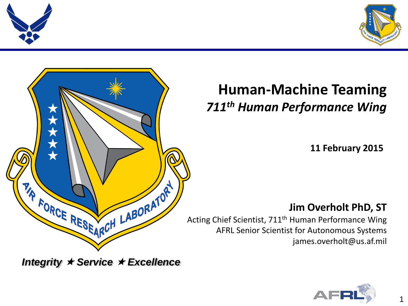





### **Human-Machine Teaming** *711th Human Performance Wing*

**11 February 2015**

### **Jim Overholt PhD, ST**

Acting Chief Scientist, 711<sup>th</sup> Human Performance Wing AFRL Senior Scientist for Autonomous Systems james.overholt@us.af.mil

*Integrity Service Excellence*

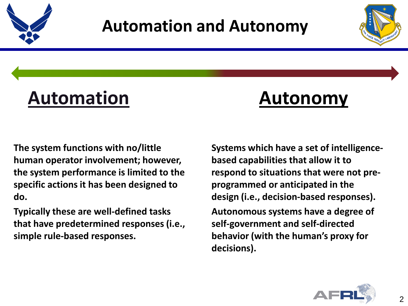



# **Automation Autonomy**

**The system functions with no/little human operator involvement; however, the system performance is limited to the specific actions it has been designed to do.** 

**Typically these are well-defined tasks that have predetermined responses (i.e., simple rule-based responses.** 

**Systems which have a set of intelligencebased capabilities that allow it to respond to situations that were not preprogrammed or anticipated in the design (i.e., decision-based responses). Autonomous systems have a degree of self-government and self-directed behavior (with the human's proxy for decisions).** 

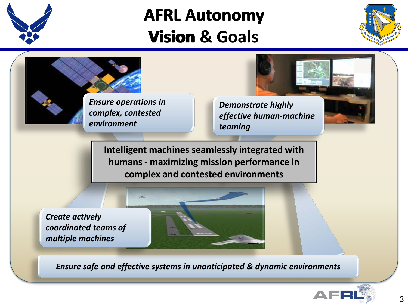

## **AFRL Autonomy**<br> **Vision & Goals Vision & Goals**





*Ensure safe and effective systems in unanticipated & dynamic environments*

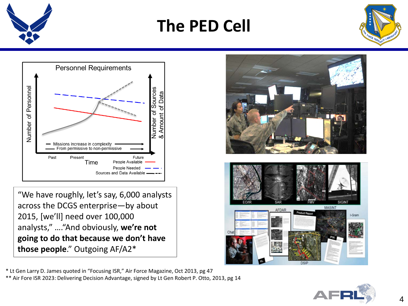

**The PED Cell**





"We have roughly, let's say, 6,000 analysts across the DCGS enterprise—by about 2015, [we'll] need over 100,000 analysts," …."And obviously, **we're not going to do that because we don't have those people**." Outgoing AF/A2\*

**MASINT** 

\* Lt Gen Larry D. James quoted in "Focusing ISR," Air Force Magazine, Oct 2013, pg 47

\*\* Air Fore ISR 2023: Delivering Decision Advantage, signed by Lt Gen Robert P. Otto, 2013, pg 14

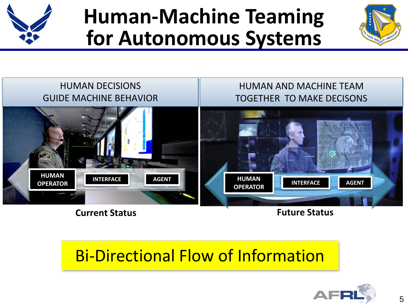

# **Human-Machine Teaming for Autonomous Systems**





**Current Status Future Status**

### Bi-Directional Flow of Information